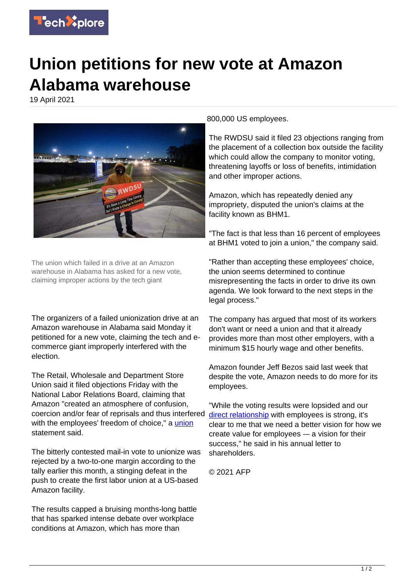

## **Union petitions for new vote at Amazon Alabama warehouse**

19 April 2021



The union which failed in a drive at an Amazon warehouse in Alabama has asked for a new vote claiming improper actions by the tech giant

The organizers of a failed unionization drive at an Amazon warehouse in Alabama said Monday it petitioned for a new vote, claiming the tech and ecommerce giant improperly interfered with the election.

The Retail, Wholesale and Department Store Union said it filed objections Friday with the National Labor Relations Board, claiming that Amazon "created an atmosphere of confusion, coercion and/or fear of reprisals and thus interfered with the employees' freedom of choice." a [union](https://techxplore.com/tags/union/) statement said.

The bitterly contested mail-in vote to unionize was rejected by a two-to-one margin according to the tally earlier this month, a stinging defeat in the push to create the first labor union at a US-based Amazon facility.

The results capped a bruising months-long battle that has sparked intense debate over workplace conditions at Amazon, which has more than

800,000 US employees.

The RWDSU said it filed 23 objections ranging from the placement of a collection box outside the facility which could allow the company to monitor voting, threatening layoffs or loss of benefits, intimidation and other improper actions.

Amazon, which has repeatedly denied any impropriety, disputed the union's claims at the facility known as BHM1.

"The fact is that less than 16 percent of employees at BHM1 voted to join a union," the company said.

"Rather than accepting these employees' choice, the union seems determined to continue misrepresenting the facts in order to drive its own agenda. We look forward to the next steps in the legal process."

The company has argued that most of its workers don't want or need a union and that it already provides more than most other employers, with a minimum \$15 hourly wage and other benefits.

Amazon founder Jeff Bezos said last week that despite the vote, Amazon needs to do more for its employees.

"While the voting results were lopsided and our [direct relationship](https://techxplore.com/tags/direct+relationship/) with employees is strong, it's clear to me that we need a better vision for how we create value for employees -– a vision for their success," he said in his annual letter to shareholders.

© 2021 AFP